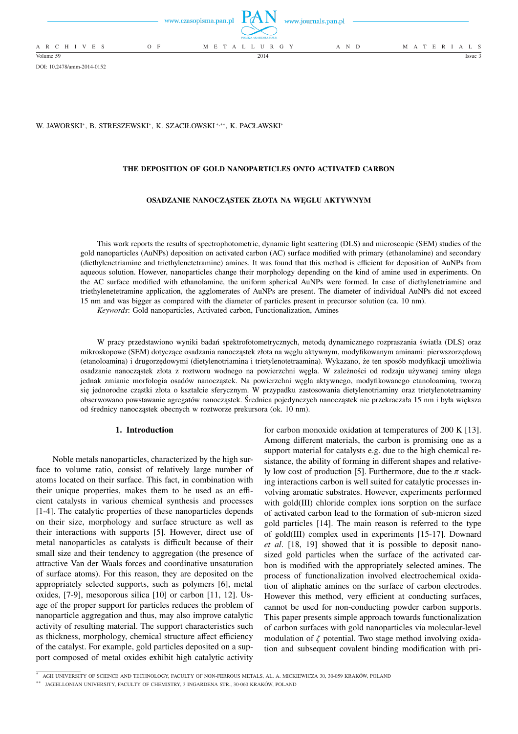

DOI: 10.2478/amm-2014-0152

W. JAWORSKI\*, B. STRESZEWSKI\*, K. SZACIŁOWSKI\*,\*\*\*, K. PACŁAWSKI\*

## **THE DEPOSITION OF GOLD NANOPARTICLES ONTO ACTIVATED CARBON**

#### **OSADZANIE NANOCZĄSTEK ZŁOTA NA WĘGLU AKTYWNYM**

This work reports the results of spectrophotometric, dynamic light scattering (DLS) and microscopic (SEM) studies of the gold nanoparticles (AuNPs) deposition on activated carbon (AC) surface modified with primary (ethanolamine) and secondary (diethylenetriamine and triethylenetetramine) amines. It was found that this method is efficient for deposition of AuNPs from aqueous solution. However, nanoparticles change their morphology depending on the kind of amine used in experiments. On the AC surface modified with ethanolamine, the uniform spherical AuNPs were formed. In case of diethylenetriamine and triethylenetetramine application, the agglomerates of AuNPs are present. The diameter of individual AuNPs did not exceed 15 nm and was bigger as compared with the diameter of particles present in precursor solution (ca. 10 nm).

*Keywords*: Gold nanoparticles, Activated carbon, Functionalization, Amines

W pracy przedstawiono wyniki badań spektrofotometrycznych, metodą dynamicznego rozpraszania światła (DLS) oraz mikroskopowe (SEM) dotyczące osadzania nanocząstek złota na węglu aktywnym, modyfikowanym aminami: pierwszorzędową (etanoloamina) i drugorzędowymi (dietylenotriamina i trietylenotetraamina). Wykazano, że ten sposób modyfikacji umożliwia osadzanie nanocząstek złota z roztworu wodnego na powierzchni węgla. W zależności od rodzaju używanej aminy ulega jednak zmianie morfologia osadów nanocząstek. Na powierzchni węgla aktywnego, modyfikowanego etanoloaminą, tworzą się jednorodne cząstki złota o kształcie sferycznym. W przypadku zastosowania dietylenotriaminy oraz trietylenotetraaminy obserwowano powstawanie agregatów nanocząstek. Średnica pojedynczych nanocząstek nie przekraczała 15 nm i była większa od średnicy nanocząstek obecnych w roztworze prekursora (ok. 10 nm).

### **1. Introduction**

Noble metals nanoparticles, characterized by the high surface to volume ratio, consist of relatively large number of atoms located on their surface. This fact, in combination with their unique properties, makes them to be used as an efficient catalysts in various chemical synthesis and processes [1-4]. The catalytic properties of these nanoparticles depends on their size, morphology and surface structure as well as their interactions with supports [5]. However, direct use of metal nanoparticles as catalysts is difficult because of their small size and their tendency to aggregation (the presence of attractive Van der Waals forces and coordinative unsaturation of surface atoms). For this reason, they are deposited on the appropriately selected supports, such as polymers [6], metal oxides, [7-9], mesoporous silica [10] or carbon [11, 12]. Usage of the proper support for particles reduces the problem of nanoparticle aggregation and thus, may also improve catalytic activity of resulting material. The support characteristics such as thickness, morphology, chemical structure affect efficiency of the catalyst. For example, gold particles deposited on a support composed of metal oxides exhibit high catalytic activity

for carbon monoxide oxidation at temperatures of 200 K [13]. Among different materials, the carbon is promising one as a support material for catalysts e.g. due to the high chemical resistance, the ability of forming in different shapes and relatively low cost of production [5]. Furthermore, due to the  $\pi$  stacking interactions carbon is well suited for catalytic processes involving aromatic substrates. However, experiments performed with gold(III) chloride complex ions sorption on the surface of activated carbon lead to the formation of sub-micron sized gold particles [14]. The main reason is referred to the type of gold(III) complex used in experiments [15-17]. Downard *et al*. [18, 19] showed that it is possible to deposit nanosized gold particles when the surface of the activated carbon is modified with the appropriately selected amines. The process of functionalization involved electrochemical oxidation of aliphatic amines on the surface of carbon electrodes. However this method, very efficient at conducting surfaces, cannot be used for non-conducting powder carbon supports. This paper presents simple approach towards functionalization of carbon surfaces with gold nanoparticles via molecular-level modulation of  $\zeta$  potential. Two stage method involving oxidation and subsequent covalent binding modification with pri-

<sup>∗</sup> AGH UNIVERSITY OF SCIENCE AND TECHNOLOGY, FACULTY OF NON-FERROUS METALS, AL. A. MICKIEWICZA 30, 30-059 KRAKÓW, POLAND

<sup>∗∗</sup> JAGIELLONIAN UNIVERSITY, FACULTY OF CHEMISTRY, 3 INGARDENA STR., 30-060 KRAKÓW, POLAND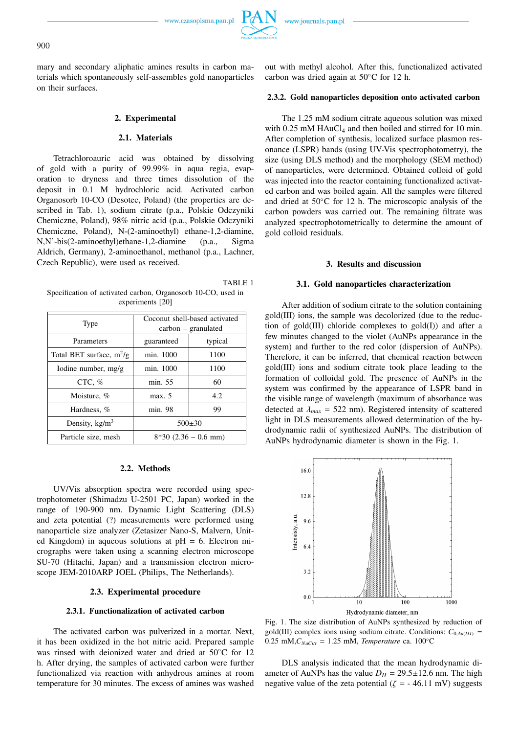mary and secondary aliphatic amines results in carbon materials which spontaneously self-assembles gold nanoparticles on their surfaces.

### **2. Experimental**

# **2.1. Materials**

Tetrachloroauric acid was obtained by dissolving of gold with a purity of 99.99% in aqua regia, evaporation to dryness and three times dissolution of the deposit in 0.1 M hydrochloric acid. Activated carbon Organosorb 10-CO (Desotec, Poland) (the properties are described in Tab. 1), sodium citrate (p.a., Polskie Odczyniki Chemiczne, Poland), 98% nitric acid (p.a., Polskie Odczyniki Chemiczne, Poland), N-(2-aminoethyl) ethane-1,2-diamine, N,N'-bis(2-aminoethyl)ethane-1,2-diamine (p.a., Sigma Aldrich, Germany), 2-aminoethanol, methanol (p.a., Lachner, Czech Republic), were used as received.

|                                                              | TABLE 1 |
|--------------------------------------------------------------|---------|
| Specification of activated carbon, Organosorb 10-CO, used in |         |
| experiments [20]                                             |         |

| Type                       | Coconut shell-based activated<br>$carbon - granulated$ |         |
|----------------------------|--------------------------------------------------------|---------|
| Parameters                 | guaranteed                                             | typical |
| Total BET surface, $m^2/g$ | min. 1000                                              | 1100    |
| Iodine number, mg/g        | min. 1000                                              | 1100    |
| CTC, $%$                   | min. 55                                                | 60      |
| Moisture, %                | max. 5                                                 | 4.2     |
| Hardness, %                | min. 98                                                | 99      |
| Density, $\text{kg/m}^3$   | $500\pm30$                                             |         |
| Particle size, mesh        | $8*30$ (2.36 – 0.6 mm)                                 |         |

#### **2.2. Methods**

UV/Vis absorption spectra were recorded using spectrophotometer (Shimadzu U-2501 PC, Japan) worked in the range of 190-900 nm. Dynamic Light Scattering (DLS) and zeta potential (?) measurements were performed using nanoparticle size analyzer (Zetasizer Nano-S, Malvern, United Kingdom) in aqueous solutions at  $pH = 6$ . Electron micrographs were taken using a scanning electron microscope SU-70 (Hitachi, Japan) and a transmission electron microscope JEM-2010ARP JOEL (Philips, The Netherlands).

### **2.3. Experimental procedure**

#### **2.3.1. Functionalization of activated carbon**

The activated carbon was pulverized in a mortar. Next, it has been oxidized in the hot nitric acid. Prepared sample was rinsed with deionized water and dried at 50◦C for 12 h. After drying, the samples of activated carbon were further functionalized via reaction with anhydrous amines at room temperature for 30 minutes. The excess of amines was washed

out with methyl alcohol. After this, functionalized activated carbon was dried again at 50◦C for 12 h.

#### **2.3.2. Gold nanoparticles deposition onto activated carbon**

The 1.25 mM sodium citrate aqueous solution was mixed with  $0.25 \text{ mM HAuCl}_4$  and then boiled and stirred for 10 min. After completion of synthesis, localized surface plasmon resonance (LSPR) bands (using UV-Vis spectrophotometry), the size (using DLS method) and the morphology (SEM method) of nanoparticles, were determined. Obtained colloid of gold was injected into the reactor containing functionalized activated carbon and was boiled again. All the samples were filtered and dried at 50◦C for 12 h. The microscopic analysis of the carbon powders was carried out. The remaining filtrate was analyzed spectrophotometrically to determine the amount of gold colloid residuals.

### **3. Results and discussion**

### **3.1. Gold nanoparticles characterization**

After addition of sodium citrate to the solution containing gold(III) ions, the sample was decolorized (due to the reduction of gold(III) chloride complexes to gold(I)) and after a few minutes changed to the violet (AuNPs appearance in the system) and further to the red color (dispersion of AuNPs). Therefore, it can be inferred, that chemical reaction between gold(III) ions and sodium citrate took place leading to the formation of colloidal gold. The presence of AuNPs in the system was confirmed by the appearance of LSPR band in the visible range of wavelength (maximum of absorbance was detected at  $\lambda_{max} = 522$  nm). Registered intensity of scattered light in DLS measurements allowed determination of the hydrodynamic radii of synthesized AuNPs. The distribution of AuNPs hydrodynamic diameter is shown in the Fig. 1.



Fig. 1. The size distribution of AuNPs synthesized by reduction of gold(III) complex ions using sodium citrate. Conditions:  $C_{0, Au(III)}$  = 0.25 mM, $C_{NaCitr}$  = 1.25 mM, *Temperature* ca. 100 $\degree$ C

DLS analysis indicated that the mean hydrodynamic diameter of AuNPs has the value  $D_H = 29.5 \pm 12.6$  nm. The high negative value of the zeta potential ( $\zeta = -46.11$  mV) suggests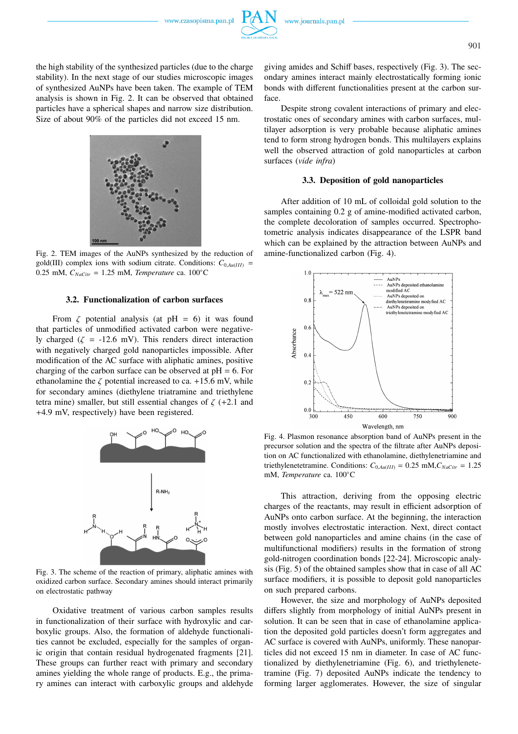www.czasopisma.pan.pl

the high stability of the synthesized particles (due to the charge stability). In the next stage of our studies microscopic images of synthesized AuNPs have been taken. The example of TEM analysis is shown in Fig. 2. It can be observed that obtained particles have a spherical shapes and narrow size distribution. Size of about 90% of the particles did not exceed 15 nm.



Fig. 2. TEM images of the AuNPs synthesized by the reduction of gold(III) complex ions with sodium citrate. Conditions:  $C_{0, Au(III)}$  = 0.25 mM, *CNaCitr* = 1.25 mM, *Temperature* ca. 100◦C

## **3.2. Functionalization of carbon surfaces**

From  $\zeta$  potential analysis (at pH = 6) it was found that particles of unmodified activated carbon were negatively charged ( $\zeta$  = -12.6 mV). This renders direct interaction with negatively charged gold nanoparticles impossible. After modification of the AC surface with aliphatic amines, positive charging of the carbon surface can be observed at  $pH = 6$ . For ethanolamine the  $\zeta$  potential increased to ca. +15.6 mV, while for secondary amines (diethylene triatramine and triethylene tetra mine) smaller, but still essential changes of  $\zeta$  (+2.1 and +4.9 mV, respectively) have been registered.



Fig. 3. The scheme of the reaction of primary, aliphatic amines with oxidized carbon surface. Secondary amines should interact primarily on electrostatic pathway

Oxidative treatment of various carbon samples results in functionalization of their surface with hydroxylic and carboxylic groups. Also, the formation of aldehyde functionalities cannot be excluded, especially for the samples of organic origin that contain residual hydrogenated fragments [21]. These groups can further react with primary and secondary amines yielding the whole range of products. E.g., the primary amines can interact with carboxylic groups and aldehyde

giving amides and Schiff bases, respectively (Fig. 3). The secondary amines interact mainly electrostatically forming ionic bonds with different functionalities present at the carbon surface.

Despite strong covalent interactions of primary and electrostatic ones of secondary amines with carbon surfaces, multilayer adsorption is very probable because aliphatic amines tend to form strong hydrogen bonds. This multilayers explains well the observed attraction of gold nanoparticles at carbon surfaces (*vide infra*)

### **3.3. Deposition of gold nanoparticles**

After addition of 10 mL of colloidal gold solution to the samples containing 0.2 g of amine-modified activated carbon, the complete decoloration of samples occurred. Spectrophotometric analysis indicates disappearance of the LSPR band which can be explained by the attraction between AuNPs and amine-functionalized carbon (Fig. 4).



Fig. 4. Plasmon resonance absorption band of AuNPs present in the precursor solution and the spectra of the filtrate after AuNPs deposition on AC functionalized with ethanolamine, diethylenetriamine and triethylenetetramine. Conditions:  $C_{0, Au(III)} = 0.25$  mM, $C_{NaCitr} = 1.25$ mM, *Temperature* ca. 100◦C

This attraction, deriving from the opposing electric charges of the reactants, may result in efficient adsorption of AuNPs onto carbon surface. At the beginning, the interaction mostly involves electrostatic interaction. Next, direct contact between gold nanoparticles and amine chains (in the case of multifunctional modifiers) results in the formation of strong gold-nitrogen coordination bonds [22-24]. Microscopic analysis (Fig. 5) of the obtained samples show that in case of all AC surface modifiers, it is possible to deposit gold nanoparticles on such prepared carbons.

However, the size and morphology of AuNPs deposited differs slightly from morphology of initial AuNPs present in solution. It can be seen that in case of ethanolamine application the deposited gold particles doesn't form aggregates and AC surface is covered with AuNPs, uniformly. These nanoparticles did not exceed 15 nm in diameter. In case of AC functionalized by diethylenetriamine (Fig. 6), and triethylenetetramine (Fig. 7) deposited AuNPs indicate the tendency to forming larger agglomerates. However, the size of singular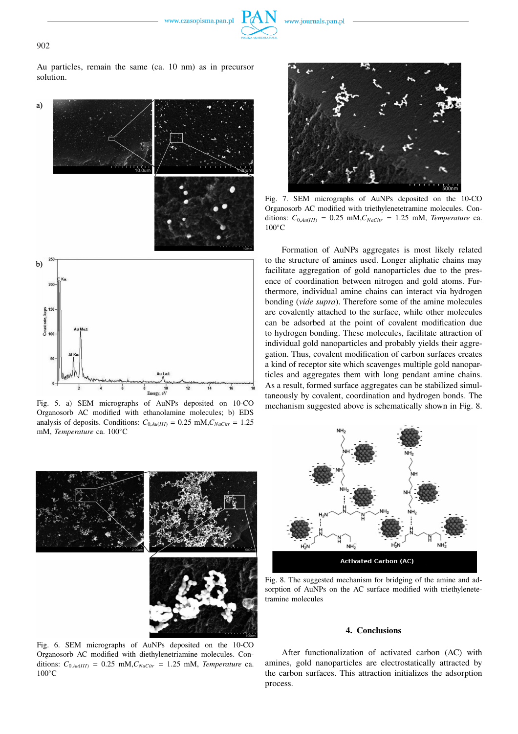



902

Au particles, remain the same (ca. 10 nm) as in precursor solution.



Fig. 5. a) SEM micrographs of AuNPs deposited on 10-CO Organosorb AC modified with ethanolamine molecules; b) EDS analysis of deposits. Conditions:  $C_{0, A u(III)} = 0.25$  mM, $C_{NaClir} = 1.25$ mM, *Temperature* ca. 100◦C



Fig. 7. SEM micrographs of AuNPs deposited on the 10-CO Organosorb AC modified with triethylenetetramine molecules. Conditions:  $C_{0, Au(III)} = 0.25$  mM,  $C_{NaClir} = 1.25$  mM, *Temperature* ca. 100◦C

Formation of AuNPs aggregates is most likely related to the structure of amines used. Longer aliphatic chains may facilitate aggregation of gold nanoparticles due to the presence of coordination between nitrogen and gold atoms. Furthermore, individual amine chains can interact via hydrogen bonding (*vide supra*). Therefore some of the amine molecules are covalently attached to the surface, while other molecules can be adsorbed at the point of covalent modification due to hydrogen bonding. These molecules, facilitate attraction of individual gold nanoparticles and probably yields their aggregation. Thus, covalent modification of carbon surfaces creates a kind of receptor site which scavenges multiple gold nanoparticles and aggregates them with long pendant amine chains. As a result, formed surface aggregates can be stabilized simultaneously by covalent, coordination and hydrogen bonds. The mechanism suggested above is schematically shown in Fig. 8.



Fig. 6. SEM micrographs of AuNPs deposited on the 10-CO Organosorb AC modified with diethylenetriamine molecules. Conditions:  $C_{0, A}$ <sub>*u*</sub>(*III*) = 0.25 mM,  $C_{NaCitr}$  = 1.25 mM, *Temperature* ca. 100◦C



Fig. 8. The suggested mechanism for bridging of the amine and adsorption of AuNPs on the AC surface modified with triethylenetetramine molecules

### **4. Conclusions**

After functionalization of activated carbon (AC) with amines, gold nanoparticles are electrostatically attracted by the carbon surfaces. This attraction initializes the adsorption process.